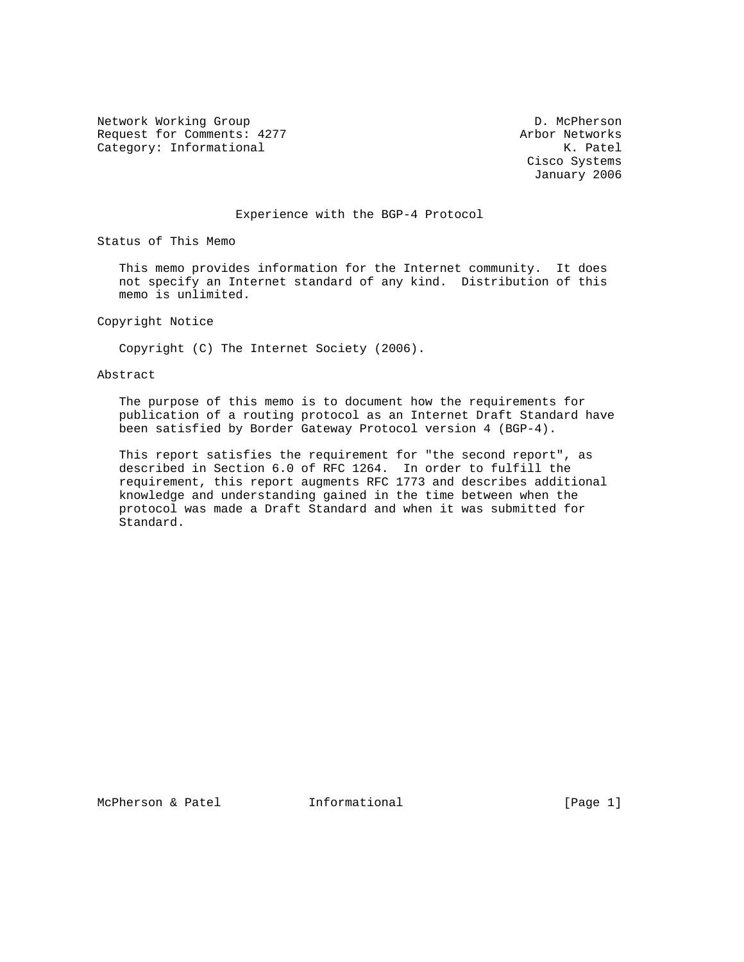Network Working Group Description of the D. McPherson Request for Comments: 4277 Arbor Networks<br>
Category: Informational Manuscriptic Methods (Arbor Networks K. Patel Category: Informational

 Cisco Systems January 2006

### Experience with the BGP-4 Protocol

Status of This Memo

 This memo provides information for the Internet community. It does not specify an Internet standard of any kind. Distribution of this memo is unlimited.

Copyright Notice

Copyright (C) The Internet Society (2006).

### Abstract

 The purpose of this memo is to document how the requirements for publication of a routing protocol as an Internet Draft Standard have been satisfied by Border Gateway Protocol version 4 (BGP-4).

 This report satisfies the requirement for "the second report", as described in Section 6.0 of RFC 1264. In order to fulfill the requirement, this report augments RFC 1773 and describes additional knowledge and understanding gained in the time between when the protocol was made a Draft Standard and when it was submitted for Standard.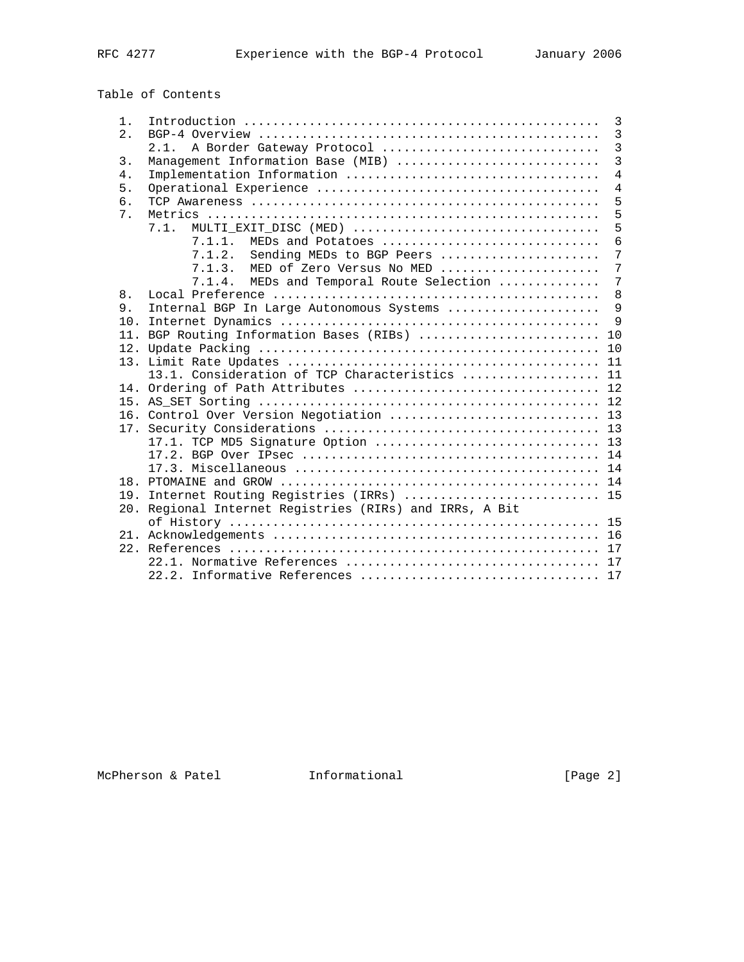Table of Contents

| $1$ .            |                                                         | 3               |
|------------------|---------------------------------------------------------|-----------------|
| 2.               |                                                         | 3               |
|                  | 2.1. A Border Gateway Protocol                          | $\overline{3}$  |
| $\overline{3}$ . | Management Information Base (MIB)                       | $\overline{3}$  |
| 4.               |                                                         | $\overline{4}$  |
| 5.               |                                                         | $\overline{4}$  |
| 6.               |                                                         | 5               |
| 7 <sub>1</sub>   |                                                         | 5               |
|                  | 7.1.                                                    | 5               |
|                  | 7.1.1.<br>MEDs and Potatoes                             | 6               |
|                  | 7.1.2.<br>Sending MEDs to BGP Peers                     | 7               |
|                  | 7.1.3.<br>MED of Zero Versus No MED                     | 7               |
|                  | MEDs and Temporal Route Selection<br>7.1.4.             | $7\phantom{.0}$ |
| 8.               |                                                         | 8               |
| 9.               | Internal BGP In Large Autonomous Systems                | $\mathsf{Q}$    |
|                  |                                                         | $\mathsf{Q}$    |
|                  | 11. BGP Routing Information Bases (RIBs)  10            |                 |
|                  |                                                         | 10              |
|                  |                                                         |                 |
|                  | 13.1. Consideration of TCP Characteristics  11          |                 |
|                  |                                                         |                 |
|                  |                                                         |                 |
|                  |                                                         |                 |
|                  |                                                         |                 |
|                  | 17.1. TCP MD5 Signature Option  13                      |                 |
|                  |                                                         |                 |
|                  |                                                         |                 |
|                  |                                                         |                 |
|                  | 19. Internet Routing Registries (IRRs)  15              |                 |
|                  | 20. Regional Internet Registries (RIRs) and IRRs, A Bit |                 |
|                  |                                                         |                 |
|                  |                                                         |                 |
|                  |                                                         |                 |
|                  |                                                         |                 |
|                  |                                                         |                 |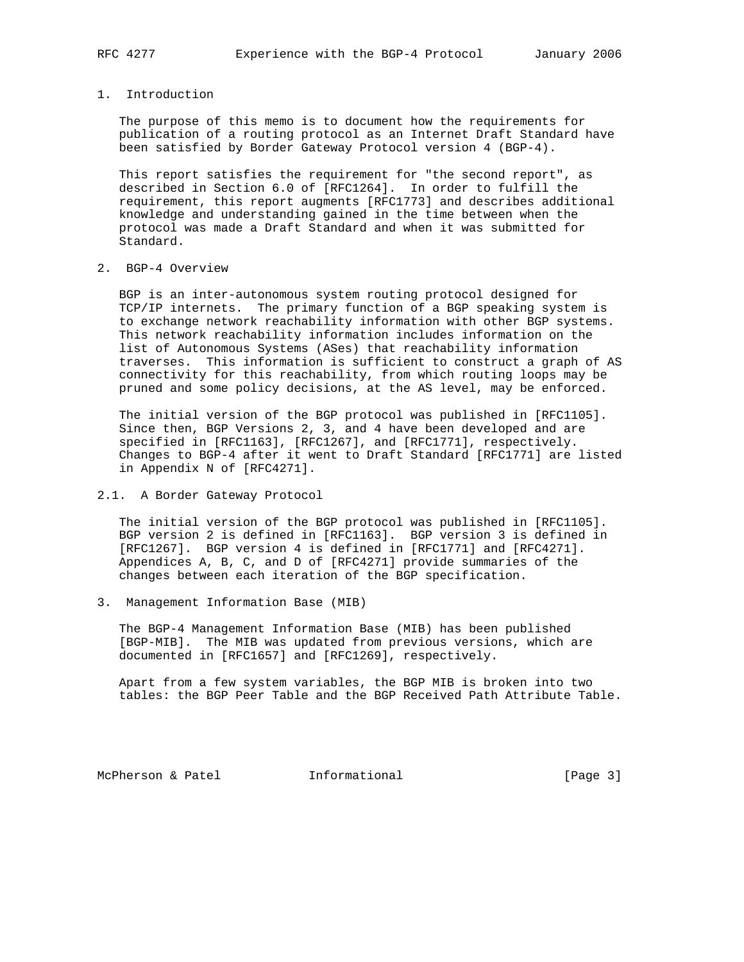# 1. Introduction

 The purpose of this memo is to document how the requirements for publication of a routing protocol as an Internet Draft Standard have been satisfied by Border Gateway Protocol version 4 (BGP-4).

 This report satisfies the requirement for "the second report", as described in Section 6.0 of [RFC1264]. In order to fulfill the requirement, this report augments [RFC1773] and describes additional knowledge and understanding gained in the time between when the protocol was made a Draft Standard and when it was submitted for Standard.

## 2. BGP-4 Overview

 BGP is an inter-autonomous system routing protocol designed for TCP/IP internets. The primary function of a BGP speaking system is to exchange network reachability information with other BGP systems. This network reachability information includes information on the list of Autonomous Systems (ASes) that reachability information traverses. This information is sufficient to construct a graph of AS connectivity for this reachability, from which routing loops may be pruned and some policy decisions, at the AS level, may be enforced.

 The initial version of the BGP protocol was published in [RFC1105]. Since then, BGP Versions 2, 3, and 4 have been developed and are specified in [RFC1163], [RFC1267], and [RFC1771], respectively. Changes to BGP-4 after it went to Draft Standard [RFC1771] are listed in Appendix N of [RFC4271].

### 2.1. A Border Gateway Protocol

 The initial version of the BGP protocol was published in [RFC1105]. BGP version 2 is defined in [RFC1163]. BGP version 3 is defined in [RFC1267]. BGP version 4 is defined in [RFC1771] and [RFC4271]. Appendices A, B, C, and D of [RFC4271] provide summaries of the changes between each iteration of the BGP specification.

3. Management Information Base (MIB)

 The BGP-4 Management Information Base (MIB) has been published [BGP-MIB]. The MIB was updated from previous versions, which are documented in [RFC1657] and [RFC1269], respectively.

 Apart from a few system variables, the BGP MIB is broken into two tables: the BGP Peer Table and the BGP Received Path Attribute Table.

McPherson & Patel **Informational** [Page 3]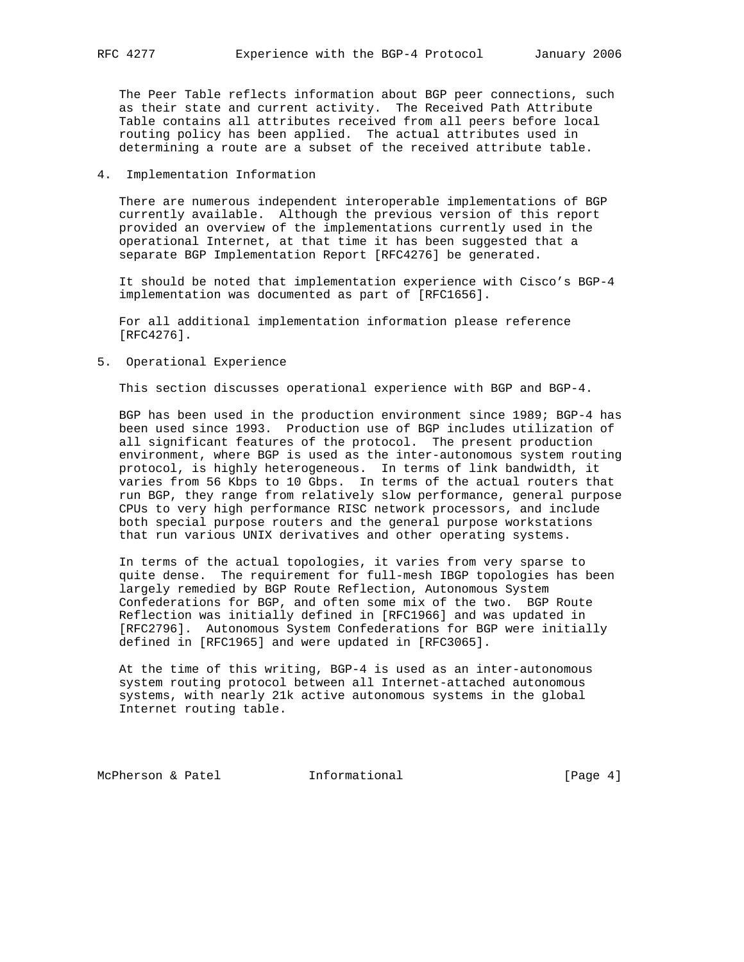The Peer Table reflects information about BGP peer connections, such as their state and current activity. The Received Path Attribute Table contains all attributes received from all peers before local routing policy has been applied. The actual attributes used in determining a route are a subset of the received attribute table.

### 4. Implementation Information

 There are numerous independent interoperable implementations of BGP currently available. Although the previous version of this report provided an overview of the implementations currently used in the operational Internet, at that time it has been suggested that a separate BGP Implementation Report [RFC4276] be generated.

 It should be noted that implementation experience with Cisco's BGP-4 implementation was documented as part of [RFC1656].

 For all additional implementation information please reference [RFC4276].

5. Operational Experience

This section discusses operational experience with BGP and BGP-4.

 BGP has been used in the production environment since 1989; BGP-4 has been used since 1993. Production use of BGP includes utilization of all significant features of the protocol. The present production environment, where BGP is used as the inter-autonomous system routing protocol, is highly heterogeneous. In terms of link bandwidth, it varies from 56 Kbps to 10 Gbps. In terms of the actual routers that run BGP, they range from relatively slow performance, general purpose CPUs to very high performance RISC network processors, and include both special purpose routers and the general purpose workstations that run various UNIX derivatives and other operating systems.

 In terms of the actual topologies, it varies from very sparse to quite dense. The requirement for full-mesh IBGP topologies has been largely remedied by BGP Route Reflection, Autonomous System Confederations for BGP, and often some mix of the two. BGP Route Reflection was initially defined in [RFC1966] and was updated in [RFC2796]. Autonomous System Confederations for BGP were initially defined in [RFC1965] and were updated in [RFC3065].

 At the time of this writing, BGP-4 is used as an inter-autonomous system routing protocol between all Internet-attached autonomous systems, with nearly 21k active autonomous systems in the global Internet routing table.

McPherson & Patel **Informational Informational** [Page 4]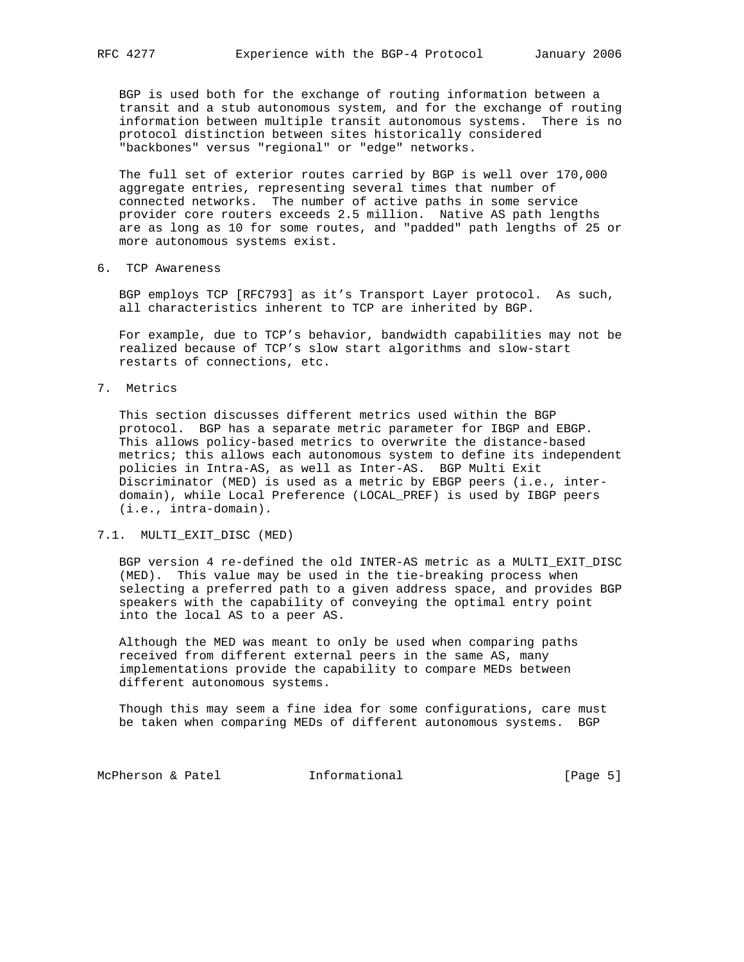BGP is used both for the exchange of routing information between a transit and a stub autonomous system, and for the exchange of routing information between multiple transit autonomous systems. There is no protocol distinction between sites historically considered "backbones" versus "regional" or "edge" networks.

 The full set of exterior routes carried by BGP is well over 170,000 aggregate entries, representing several times that number of connected networks. The number of active paths in some service provider core routers exceeds 2.5 million. Native AS path lengths are as long as 10 for some routes, and "padded" path lengths of 25 or more autonomous systems exist.

6. TCP Awareness

 BGP employs TCP [RFC793] as it's Transport Layer protocol. As such, all characteristics inherent to TCP are inherited by BGP.

 For example, due to TCP's behavior, bandwidth capabilities may not be realized because of TCP's slow start algorithms and slow-start restarts of connections, etc.

7. Metrics

 This section discusses different metrics used within the BGP protocol. BGP has a separate metric parameter for IBGP and EBGP. This allows policy-based metrics to overwrite the distance-based metrics; this allows each autonomous system to define its independent policies in Intra-AS, as well as Inter-AS. BGP Multi Exit Discriminator (MED) is used as a metric by EBGP peers (i.e., inter domain), while Local Preference (LOCAL\_PREF) is used by IBGP peers (i.e., intra-domain).

### 7.1. MULTI\_EXIT\_DISC (MED)

 BGP version 4 re-defined the old INTER-AS metric as a MULTI\_EXIT\_DISC (MED). This value may be used in the tie-breaking process when selecting a preferred path to a given address space, and provides BGP speakers with the capability of conveying the optimal entry point into the local AS to a peer AS.

 Although the MED was meant to only be used when comparing paths received from different external peers in the same AS, many implementations provide the capability to compare MEDs between different autonomous systems.

 Though this may seem a fine idea for some configurations, care must be taken when comparing MEDs of different autonomous systems. BGP

McPherson & Patel **Informational** 100 [Page 5]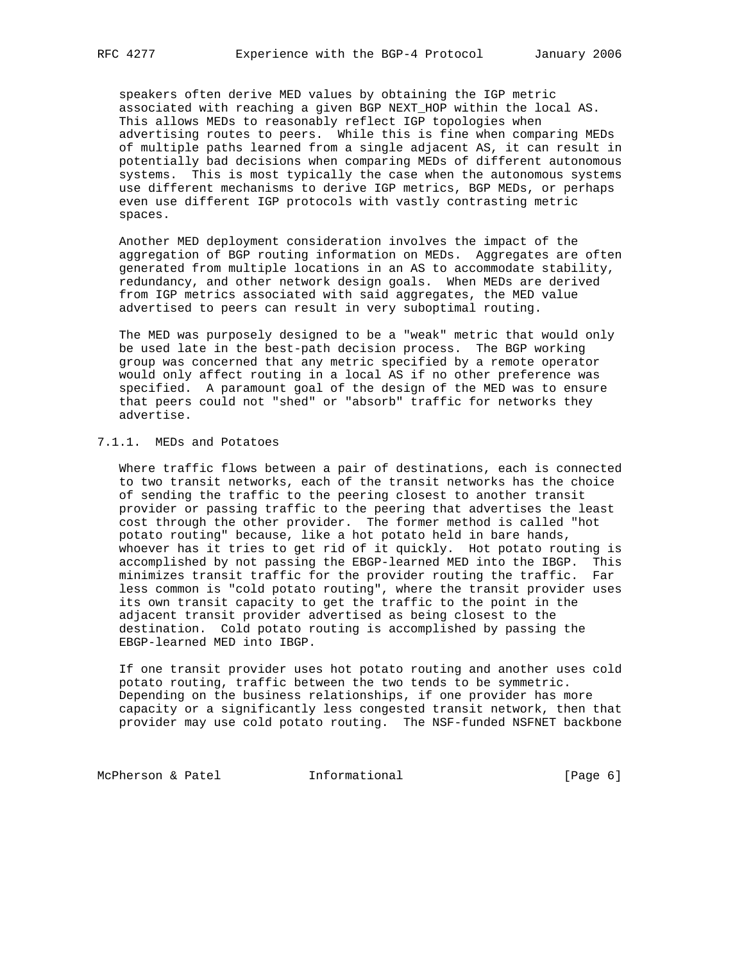speakers often derive MED values by obtaining the IGP metric associated with reaching a given BGP NEXT\_HOP within the local AS. This allows MEDs to reasonably reflect IGP topologies when advertising routes to peers. While this is fine when comparing MEDs of multiple paths learned from a single adjacent AS, it can result in potentially bad decisions when comparing MEDs of different autonomous systems. This is most typically the case when the autonomous systems use different mechanisms to derive IGP metrics, BGP MEDs, or perhaps even use different IGP protocols with vastly contrasting metric spaces.

 Another MED deployment consideration involves the impact of the aggregation of BGP routing information on MEDs. Aggregates are often generated from multiple locations in an AS to accommodate stability, redundancy, and other network design goals. When MEDs are derived from IGP metrics associated with said aggregates, the MED value advertised to peers can result in very suboptimal routing.

 The MED was purposely designed to be a "weak" metric that would only be used late in the best-path decision process. The BGP working group was concerned that any metric specified by a remote operator would only affect routing in a local AS if no other preference was specified. A paramount goal of the design of the MED was to ensure that peers could not "shed" or "absorb" traffic for networks they advertise.

# 7.1.1. MEDs and Potatoes

 Where traffic flows between a pair of destinations, each is connected to two transit networks, each of the transit networks has the choice of sending the traffic to the peering closest to another transit provider or passing traffic to the peering that advertises the least cost through the other provider. The former method is called "hot potato routing" because, like a hot potato held in bare hands, whoever has it tries to get rid of it quickly. Hot potato routing is accomplished by not passing the EBGP-learned MED into the IBGP. This minimizes transit traffic for the provider routing the traffic. Far less common is "cold potato routing", where the transit provider uses its own transit capacity to get the traffic to the point in the adjacent transit provider advertised as being closest to the destination. Cold potato routing is accomplished by passing the EBGP-learned MED into IBGP.

 If one transit provider uses hot potato routing and another uses cold potato routing, traffic between the two tends to be symmetric. Depending on the business relationships, if one provider has more capacity or a significantly less congested transit network, then that provider may use cold potato routing. The NSF-funded NSFNET backbone

McPherson & Patel **Informational Informational** [Page 6]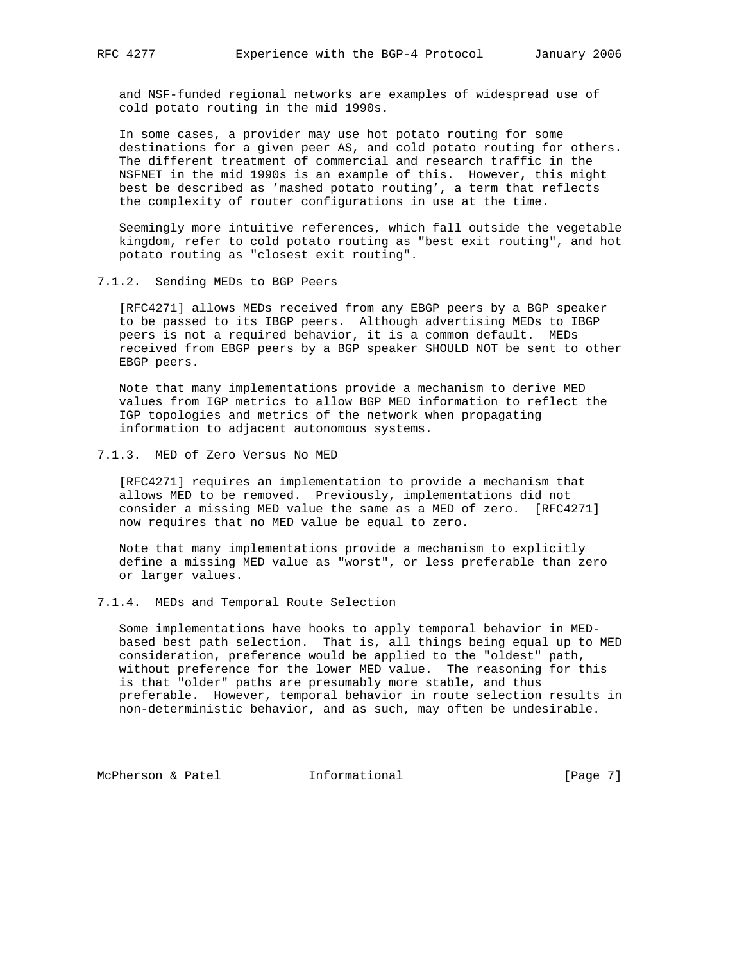and NSF-funded regional networks are examples of widespread use of cold potato routing in the mid 1990s.

 In some cases, a provider may use hot potato routing for some destinations for a given peer AS, and cold potato routing for others. The different treatment of commercial and research traffic in the NSFNET in the mid 1990s is an example of this. However, this might best be described as 'mashed potato routing', a term that reflects the complexity of router configurations in use at the time.

 Seemingly more intuitive references, which fall outside the vegetable kingdom, refer to cold potato routing as "best exit routing", and hot potato routing as "closest exit routing".

### 7.1.2. Sending MEDs to BGP Peers

 [RFC4271] allows MEDs received from any EBGP peers by a BGP speaker to be passed to its IBGP peers. Although advertising MEDs to IBGP peers is not a required behavior, it is a common default. MEDs received from EBGP peers by a BGP speaker SHOULD NOT be sent to other EBGP peers.

 Note that many implementations provide a mechanism to derive MED values from IGP metrics to allow BGP MED information to reflect the IGP topologies and metrics of the network when propagating information to adjacent autonomous systems.

### 7.1.3. MED of Zero Versus No MED

 [RFC4271] requires an implementation to provide a mechanism that allows MED to be removed. Previously, implementations did not consider a missing MED value the same as a MED of zero. [RFC4271] now requires that no MED value be equal to zero.

 Note that many implementations provide a mechanism to explicitly define a missing MED value as "worst", or less preferable than zero or larger values.

### 7.1.4. MEDs and Temporal Route Selection

 Some implementations have hooks to apply temporal behavior in MED based best path selection. That is, all things being equal up to MED consideration, preference would be applied to the "oldest" path, without preference for the lower MED value. The reasoning for this is that "older" paths are presumably more stable, and thus preferable. However, temporal behavior in route selection results in non-deterministic behavior, and as such, may often be undesirable.

McPherson & Patel **Informational Informational** [Page 7]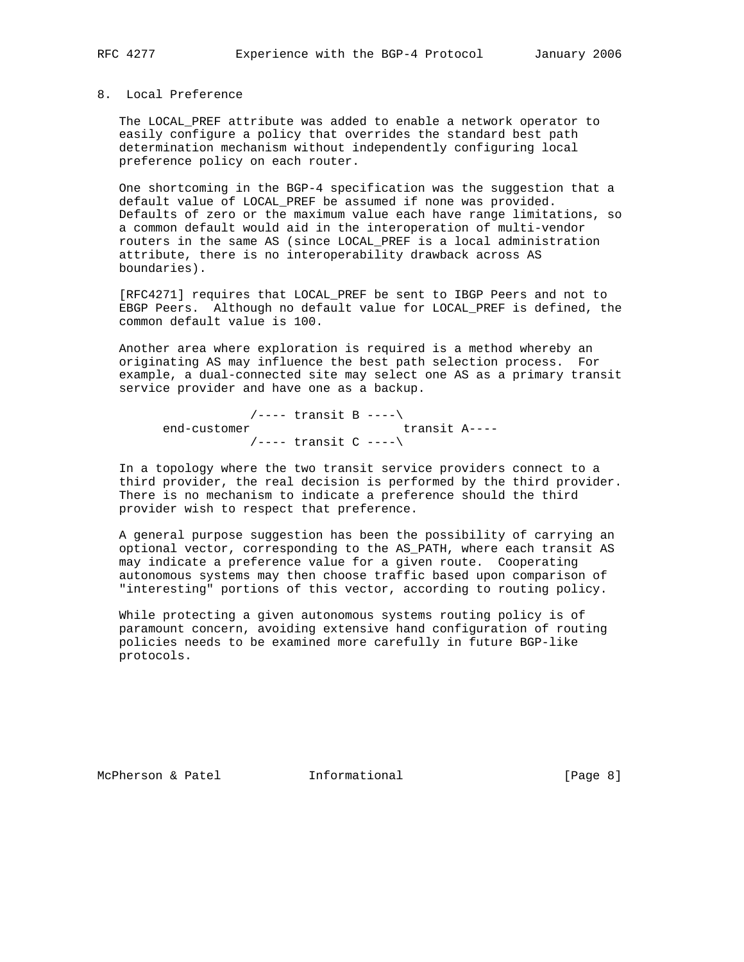### 8. Local Preference

 The LOCAL\_PREF attribute was added to enable a network operator to easily configure a policy that overrides the standard best path determination mechanism without independently configuring local preference policy on each router.

 One shortcoming in the BGP-4 specification was the suggestion that a default value of LOCAL\_PREF be assumed if none was provided. Defaults of zero or the maximum value each have range limitations, so a common default would aid in the interoperation of multi-vendor routers in the same AS (since LOCAL\_PREF is a local administration attribute, there is no interoperability drawback across AS boundaries).

 [RFC4271] requires that LOCAL\_PREF be sent to IBGP Peers and not to EBGP Peers. Although no default value for LOCAL\_PREF is defined, the common default value is 100.

 Another area where exploration is required is a method whereby an originating AS may influence the best path selection process. For example, a dual-connected site may select one AS as a primary transit service provider and have one as a backup.

 $/$ ---- transit B ---- $\setminus$ <br>transit A---end-customer transit A----/---- transit C ----\

 In a topology where the two transit service providers connect to a third provider, the real decision is performed by the third provider. There is no mechanism to indicate a preference should the third provider wish to respect that preference.

 A general purpose suggestion has been the possibility of carrying an optional vector, corresponding to the AS\_PATH, where each transit AS may indicate a preference value for a given route. Cooperating autonomous systems may then choose traffic based upon comparison of "interesting" portions of this vector, according to routing policy.

 While protecting a given autonomous systems routing policy is of paramount concern, avoiding extensive hand configuration of routing policies needs to be examined more carefully in future BGP-like protocols.

McPherson & Patel **Informational** 10 (Page 8)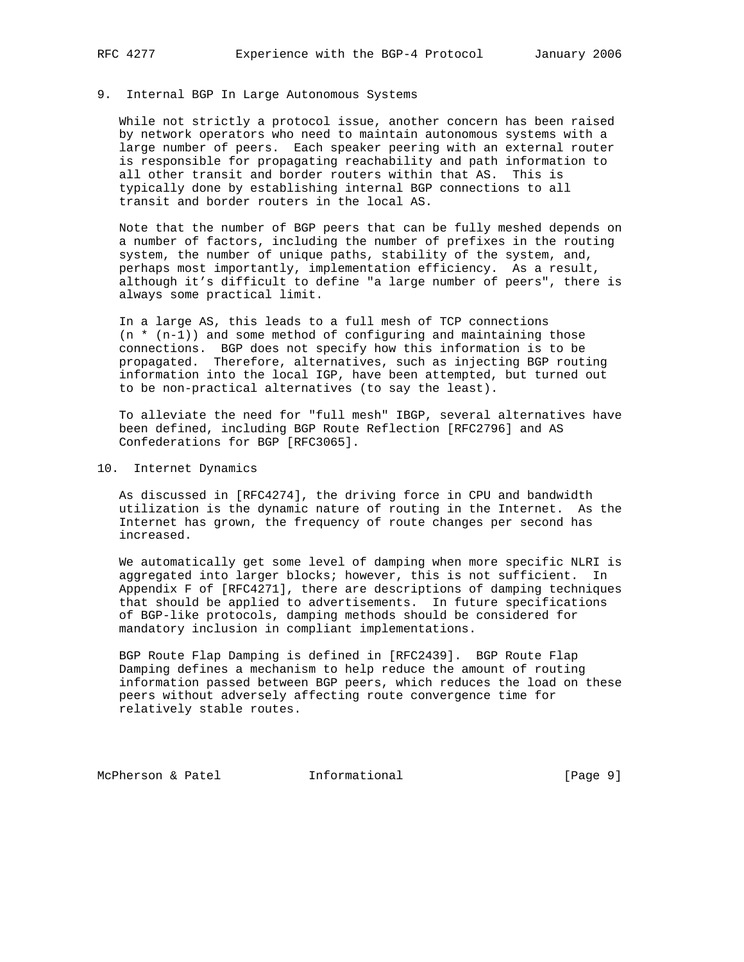## 9. Internal BGP In Large Autonomous Systems

 While not strictly a protocol issue, another concern has been raised by network operators who need to maintain autonomous systems with a large number of peers. Each speaker peering with an external router is responsible for propagating reachability and path information to all other transit and border routers within that AS. This is typically done by establishing internal BGP connections to all transit and border routers in the local AS.

 Note that the number of BGP peers that can be fully meshed depends on a number of factors, including the number of prefixes in the routing system, the number of unique paths, stability of the system, and, perhaps most importantly, implementation efficiency. As a result, although it's difficult to define "a large number of peers", there is always some practical limit.

 In a large AS, this leads to a full mesh of TCP connections  $(n * (n-1))$  and some method of configuring and maintaining those connections. BGP does not specify how this information is to be propagated. Therefore, alternatives, such as injecting BGP routing information into the local IGP, have been attempted, but turned out to be non-practical alternatives (to say the least).

 To alleviate the need for "full mesh" IBGP, several alternatives have been defined, including BGP Route Reflection [RFC2796] and AS Confederations for BGP [RFC3065].

10. Internet Dynamics

 As discussed in [RFC4274], the driving force in CPU and bandwidth utilization is the dynamic nature of routing in the Internet. As the Internet has grown, the frequency of route changes per second has increased.

 We automatically get some level of damping when more specific NLRI is aggregated into larger blocks; however, this is not sufficient. In Appendix F of [RFC4271], there are descriptions of damping techniques that should be applied to advertisements. In future specifications of BGP-like protocols, damping methods should be considered for mandatory inclusion in compliant implementations.

 BGP Route Flap Damping is defined in [RFC2439]. BGP Route Flap Damping defines a mechanism to help reduce the amount of routing information passed between BGP peers, which reduces the load on these peers without adversely affecting route convergence time for relatively stable routes.

McPherson & Patel **Informational** [Page 9]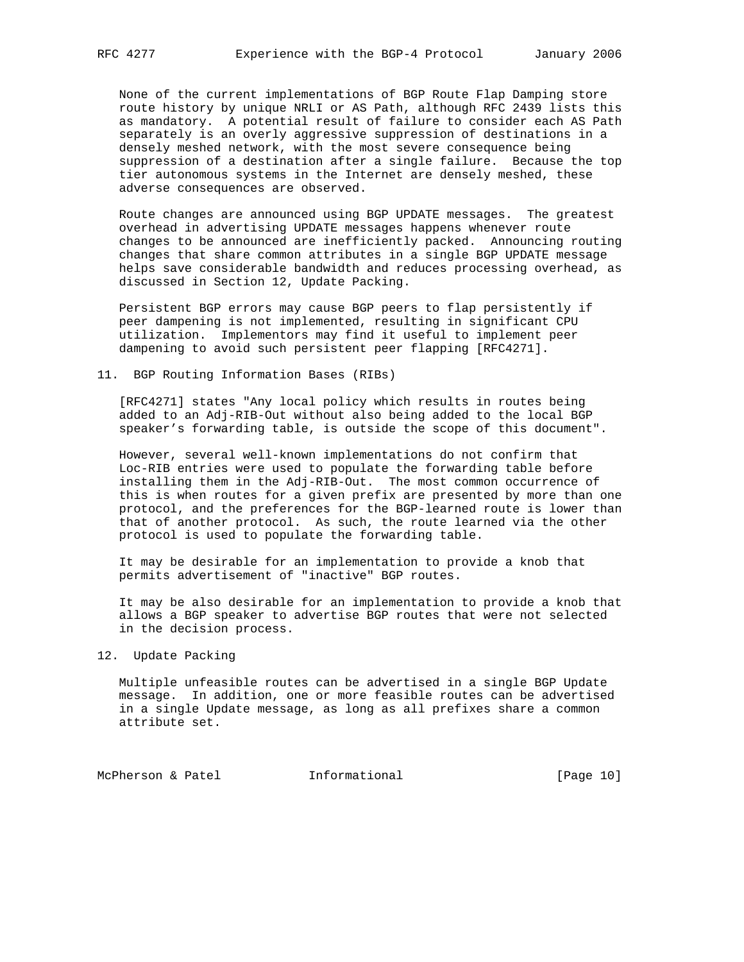None of the current implementations of BGP Route Flap Damping store route history by unique NRLI or AS Path, although RFC 2439 lists this as mandatory. A potential result of failure to consider each AS Path separately is an overly aggressive suppression of destinations in a densely meshed network, with the most severe consequence being suppression of a destination after a single failure. Because the top tier autonomous systems in the Internet are densely meshed, these adverse consequences are observed.

 Route changes are announced using BGP UPDATE messages. The greatest overhead in advertising UPDATE messages happens whenever route changes to be announced are inefficiently packed. Announcing routing changes that share common attributes in a single BGP UPDATE message helps save considerable bandwidth and reduces processing overhead, as discussed in Section 12, Update Packing.

 Persistent BGP errors may cause BGP peers to flap persistently if peer dampening is not implemented, resulting in significant CPU utilization. Implementors may find it useful to implement peer dampening to avoid such persistent peer flapping [RFC4271].

### 11. BGP Routing Information Bases (RIBs)

 [RFC4271] states "Any local policy which results in routes being added to an Adj-RIB-Out without also being added to the local BGP speaker's forwarding table, is outside the scope of this document".

 However, several well-known implementations do not confirm that Loc-RIB entries were used to populate the forwarding table before installing them in the Adj-RIB-Out. The most common occurrence of this is when routes for a given prefix are presented by more than one protocol, and the preferences for the BGP-learned route is lower than that of another protocol. As such, the route learned via the other protocol is used to populate the forwarding table.

 It may be desirable for an implementation to provide a knob that permits advertisement of "inactive" BGP routes.

 It may be also desirable for an implementation to provide a knob that allows a BGP speaker to advertise BGP routes that were not selected in the decision process.

12. Update Packing

 Multiple unfeasible routes can be advertised in a single BGP Update message. In addition, one or more feasible routes can be advertised in a single Update message, as long as all prefixes share a common attribute set.

McPherson & Patel **Informational** [Page 10]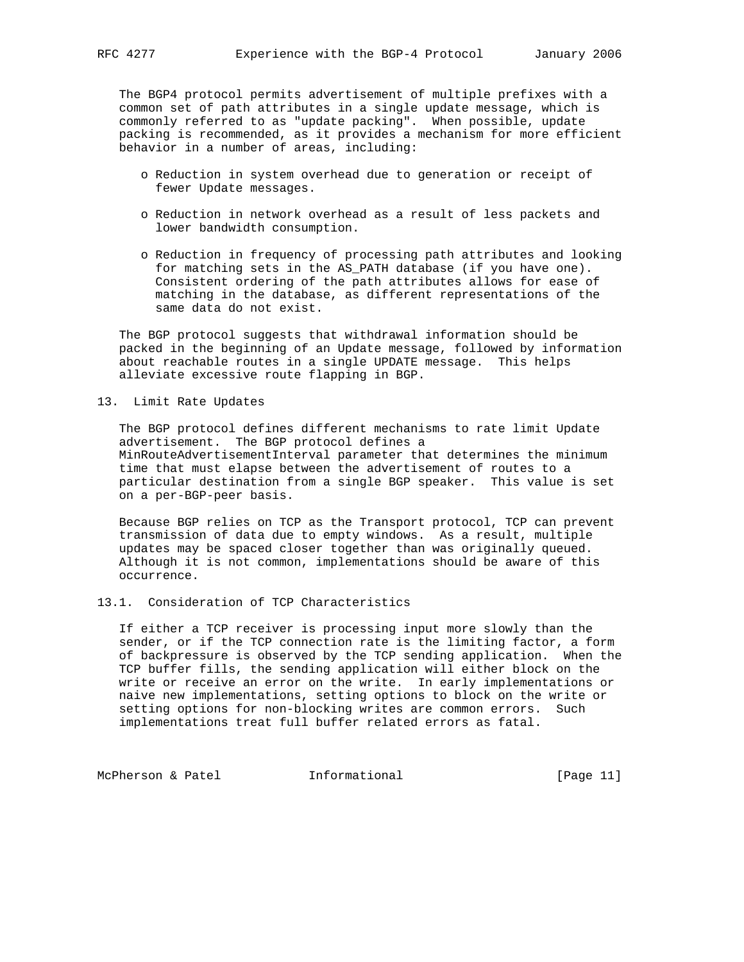The BGP4 protocol permits advertisement of multiple prefixes with a common set of path attributes in a single update message, which is commonly referred to as "update packing". When possible, update packing is recommended, as it provides a mechanism for more efficient behavior in a number of areas, including:

- o Reduction in system overhead due to generation or receipt of fewer Update messages.
- o Reduction in network overhead as a result of less packets and lower bandwidth consumption.
- o Reduction in frequency of processing path attributes and looking for matching sets in the AS\_PATH database (if you have one). Consistent ordering of the path attributes allows for ease of matching in the database, as different representations of the same data do not exist.

 The BGP protocol suggests that withdrawal information should be packed in the beginning of an Update message, followed by information about reachable routes in a single UPDATE message. This helps alleviate excessive route flapping in BGP.

13. Limit Rate Updates

 The BGP protocol defines different mechanisms to rate limit Update advertisement. The BGP protocol defines a MinRouteAdvertisementInterval parameter that determines the minimum time that must elapse between the advertisement of routes to a particular destination from a single BGP speaker. This value is set on a per-BGP-peer basis.

 Because BGP relies on TCP as the Transport protocol, TCP can prevent transmission of data due to empty windows. As a result, multiple updates may be spaced closer together than was originally queued. Although it is not common, implementations should be aware of this occurrence.

13.1. Consideration of TCP Characteristics

 If either a TCP receiver is processing input more slowly than the sender, or if the TCP connection rate is the limiting factor, a form of backpressure is observed by the TCP sending application. When the TCP buffer fills, the sending application will either block on the write or receive an error on the write. In early implementations or naive new implementations, setting options to block on the write or setting options for non-blocking writes are common errors. Such implementations treat full buffer related errors as fatal.

McPherson & Patel **Informational** [Page 11]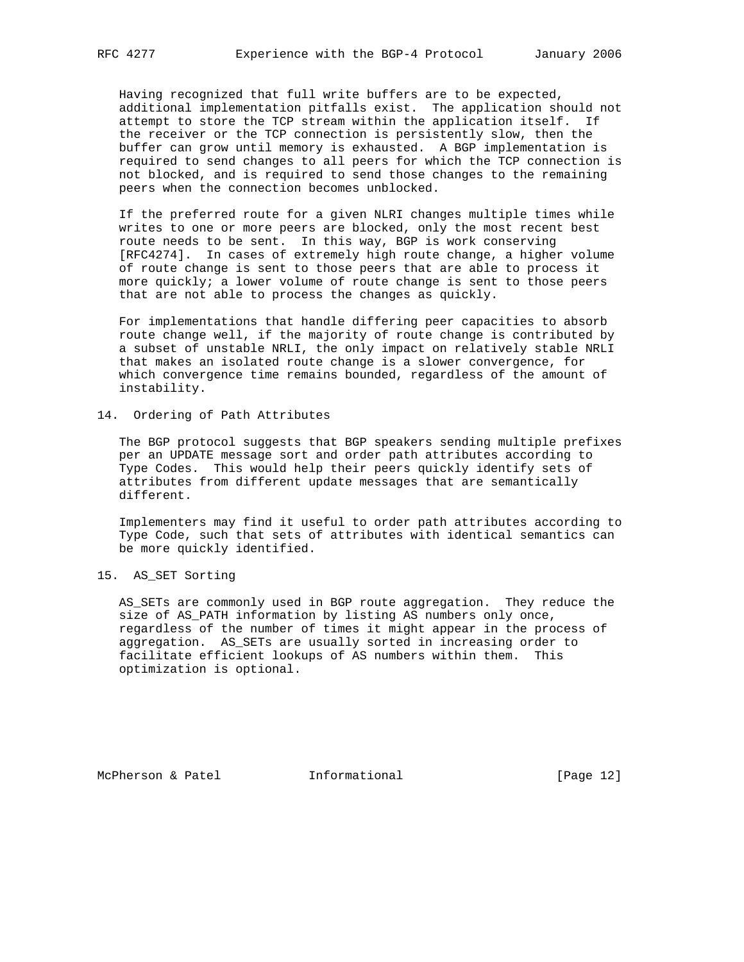Having recognized that full write buffers are to be expected, additional implementation pitfalls exist. The application should not attempt to store the TCP stream within the application itself. If the receiver or the TCP connection is persistently slow, then the buffer can grow until memory is exhausted. A BGP implementation is required to send changes to all peers for which the TCP connection is not blocked, and is required to send those changes to the remaining peers when the connection becomes unblocked.

 If the preferred route for a given NLRI changes multiple times while writes to one or more peers are blocked, only the most recent best route needs to be sent. In this way, BGP is work conserving [RFC4274]. In cases of extremely high route change, a higher volume of route change is sent to those peers that are able to process it more quickly; a lower volume of route change is sent to those peers that are not able to process the changes as quickly.

 For implementations that handle differing peer capacities to absorb route change well, if the majority of route change is contributed by a subset of unstable NRLI, the only impact on relatively stable NRLI that makes an isolated route change is a slower convergence, for which convergence time remains bounded, regardless of the amount of instability.

### 14. Ordering of Path Attributes

 The BGP protocol suggests that BGP speakers sending multiple prefixes per an UPDATE message sort and order path attributes according to Type Codes. This would help their peers quickly identify sets of attributes from different update messages that are semantically different.

 Implementers may find it useful to order path attributes according to Type Code, such that sets of attributes with identical semantics can be more quickly identified.

15. AS\_SET Sorting

 AS\_SETs are commonly used in BGP route aggregation. They reduce the size of AS PATH information by listing AS numbers only once, regardless of the number of times it might appear in the process of aggregation. AS\_SETs are usually sorted in increasing order to facilitate efficient lookups of AS numbers within them. This optimization is optional.

McPherson & Patel **Informational** [Page 12]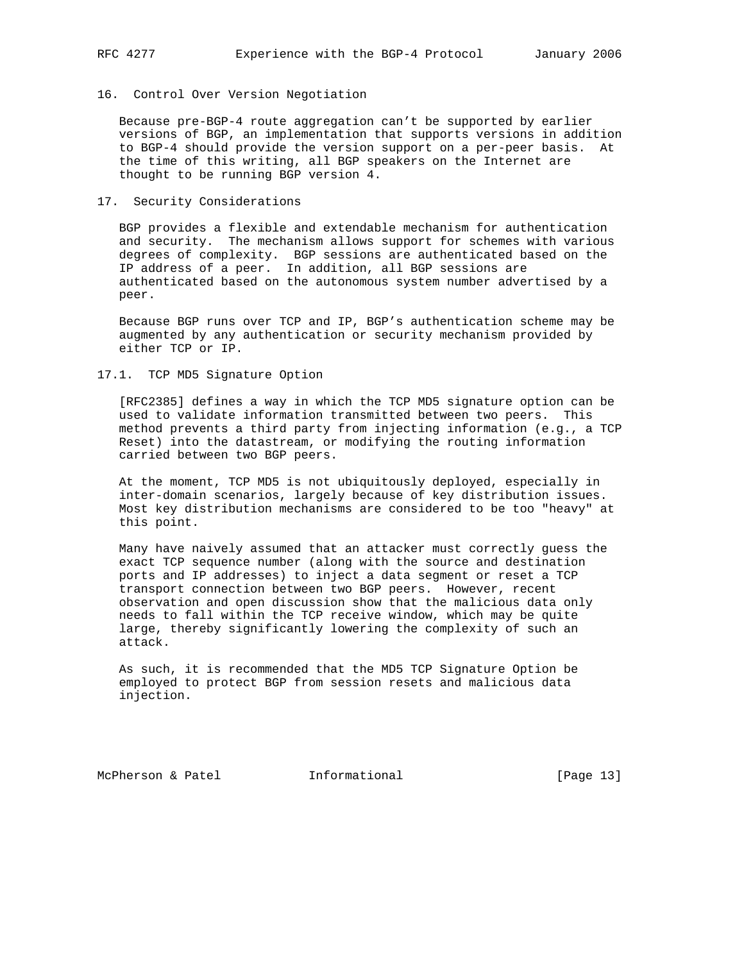# 16. Control Over Version Negotiation

 Because pre-BGP-4 route aggregation can't be supported by earlier versions of BGP, an implementation that supports versions in addition to BGP-4 should provide the version support on a per-peer basis. At the time of this writing, all BGP speakers on the Internet are thought to be running BGP version 4.

### 17. Security Considerations

 BGP provides a flexible and extendable mechanism for authentication and security. The mechanism allows support for schemes with various degrees of complexity. BGP sessions are authenticated based on the IP address of a peer. In addition, all BGP sessions are authenticated based on the autonomous system number advertised by a peer.

 Because BGP runs over TCP and IP, BGP's authentication scheme may be augmented by any authentication or security mechanism provided by either TCP or IP.

### 17.1. TCP MD5 Signature Option

 [RFC2385] defines a way in which the TCP MD5 signature option can be used to validate information transmitted between two peers. This method prevents a third party from injecting information (e.g., a TCP Reset) into the datastream, or modifying the routing information carried between two BGP peers.

 At the moment, TCP MD5 is not ubiquitously deployed, especially in inter-domain scenarios, largely because of key distribution issues. Most key distribution mechanisms are considered to be too "heavy" at this point.

 Many have naively assumed that an attacker must correctly guess the exact TCP sequence number (along with the source and destination ports and IP addresses) to inject a data segment or reset a TCP transport connection between two BGP peers. However, recent observation and open discussion show that the malicious data only needs to fall within the TCP receive window, which may be quite large, thereby significantly lowering the complexity of such an attack.

 As such, it is recommended that the MD5 TCP Signature Option be employed to protect BGP from session resets and malicious data injection.

McPherson & Patel **Informational** [Page 13]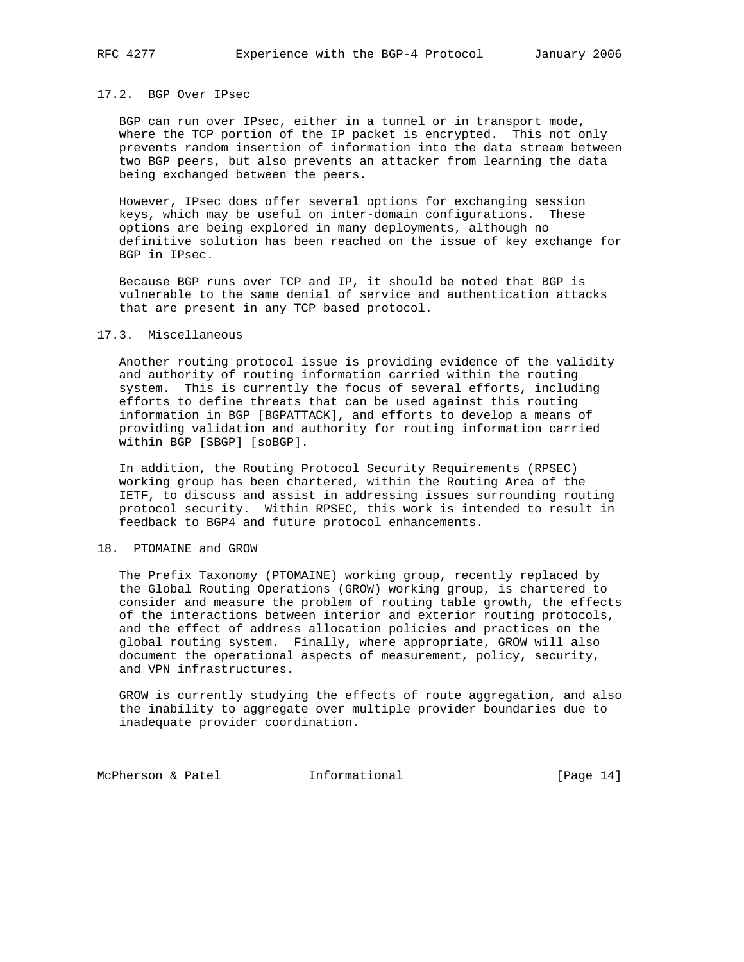### 17.2. BGP Over IPsec

 BGP can run over IPsec, either in a tunnel or in transport mode, where the TCP portion of the IP packet is encrypted. This not only prevents random insertion of information into the data stream between two BGP peers, but also prevents an attacker from learning the data being exchanged between the peers.

 However, IPsec does offer several options for exchanging session keys, which may be useful on inter-domain configurations. These options are being explored in many deployments, although no definitive solution has been reached on the issue of key exchange for BGP in IPsec.

 Because BGP runs over TCP and IP, it should be noted that BGP is vulnerable to the same denial of service and authentication attacks that are present in any TCP based protocol.

### 17.3. Miscellaneous

 Another routing protocol issue is providing evidence of the validity and authority of routing information carried within the routing system. This is currently the focus of several efforts, including efforts to define threats that can be used against this routing information in BGP [BGPATTACK], and efforts to develop a means of providing validation and authority for routing information carried within BGP [SBGP] [soBGP].

 In addition, the Routing Protocol Security Requirements (RPSEC) working group has been chartered, within the Routing Area of the IETF, to discuss and assist in addressing issues surrounding routing protocol security. Within RPSEC, this work is intended to result in feedback to BGP4 and future protocol enhancements.

### 18. PTOMAINE and GROW

 The Prefix Taxonomy (PTOMAINE) working group, recently replaced by the Global Routing Operations (GROW) working group, is chartered to consider and measure the problem of routing table growth, the effects of the interactions between interior and exterior routing protocols, and the effect of address allocation policies and practices on the global routing system. Finally, where appropriate, GROW will also document the operational aspects of measurement, policy, security, and VPN infrastructures.

 GROW is currently studying the effects of route aggregation, and also the inability to aggregate over multiple provider boundaries due to inadequate provider coordination.

McPherson & Patel **Informational** [Page 14]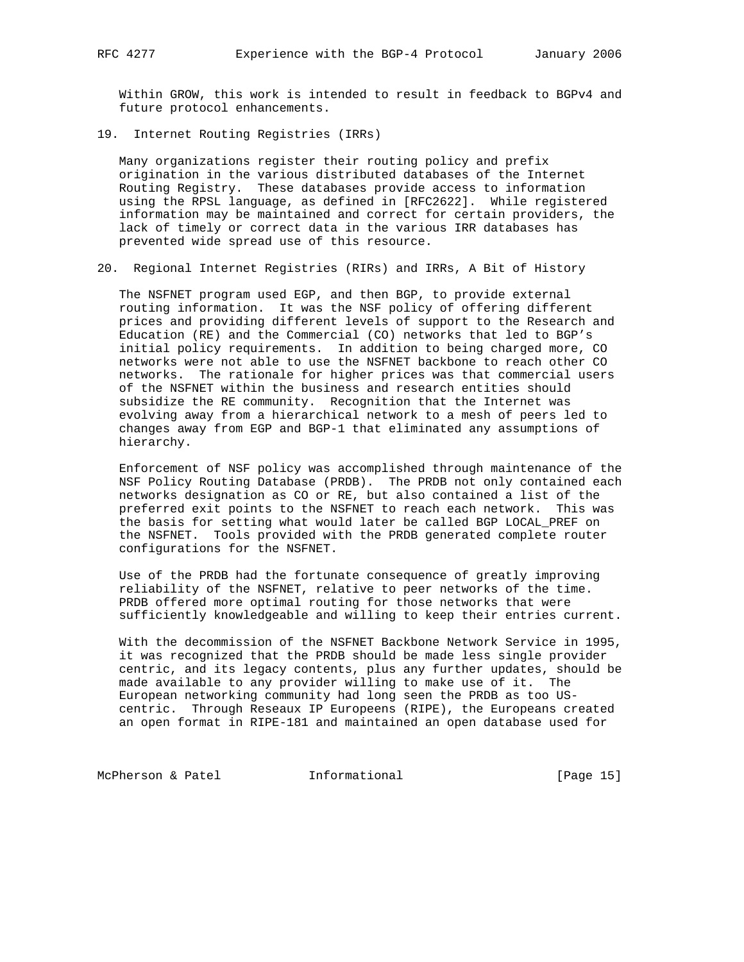Within GROW, this work is intended to result in feedback to BGPv4 and future protocol enhancements.

19. Internet Routing Registries (IRRs)

 Many organizations register their routing policy and prefix origination in the various distributed databases of the Internet Routing Registry. These databases provide access to information using the RPSL language, as defined in [RFC2622]. While registered information may be maintained and correct for certain providers, the lack of timely or correct data in the various IRR databases has prevented wide spread use of this resource.

20. Regional Internet Registries (RIRs) and IRRs, A Bit of History

 The NSFNET program used EGP, and then BGP, to provide external routing information. It was the NSF policy of offering different prices and providing different levels of support to the Research and Education (RE) and the Commercial (CO) networks that led to BGP's initial policy requirements. In addition to being charged more, CO networks were not able to use the NSFNET backbone to reach other CO networks. The rationale for higher prices was that commercial users of the NSFNET within the business and research entities should subsidize the RE community. Recognition that the Internet was evolving away from a hierarchical network to a mesh of peers led to changes away from EGP and BGP-1 that eliminated any assumptions of hierarchy.

 Enforcement of NSF policy was accomplished through maintenance of the NSF Policy Routing Database (PRDB). The PRDB not only contained each networks designation as CO or RE, but also contained a list of the preferred exit points to the NSFNET to reach each network. This was the basis for setting what would later be called BGP LOCAL\_PREF on the NSFNET. Tools provided with the PRDB generated complete router configurations for the NSFNET.

 Use of the PRDB had the fortunate consequence of greatly improving reliability of the NSFNET, relative to peer networks of the time. PRDB offered more optimal routing for those networks that were sufficiently knowledgeable and willing to keep their entries current.

 With the decommission of the NSFNET Backbone Network Service in 1995, it was recognized that the PRDB should be made less single provider centric, and its legacy contents, plus any further updates, should be made available to any provider willing to make use of it. The European networking community had long seen the PRDB as too US centric. Through Reseaux IP Europeens (RIPE), the Europeans created an open format in RIPE-181 and maintained an open database used for

McPherson & Patel **Informational** [Page 15]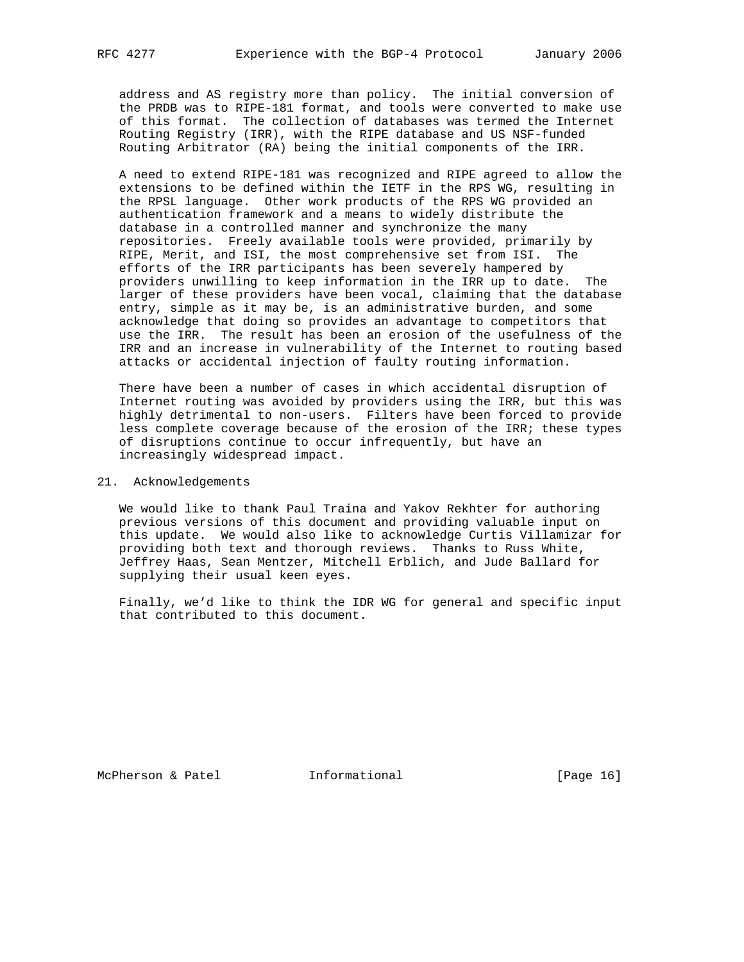address and AS registry more than policy. The initial conversion of the PRDB was to RIPE-181 format, and tools were converted to make use of this format. The collection of databases was termed the Internet Routing Registry (IRR), with the RIPE database and US NSF-funded Routing Arbitrator (RA) being the initial components of the IRR.

 A need to extend RIPE-181 was recognized and RIPE agreed to allow the extensions to be defined within the IETF in the RPS WG, resulting in the RPSL language. Other work products of the RPS WG provided an authentication framework and a means to widely distribute the database in a controlled manner and synchronize the many repositories. Freely available tools were provided, primarily by RIPE, Merit, and ISI, the most comprehensive set from ISI. The efforts of the IRR participants has been severely hampered by providers unwilling to keep information in the IRR up to date. The larger of these providers have been vocal, claiming that the database entry, simple as it may be, is an administrative burden, and some acknowledge that doing so provides an advantage to competitors that use the IRR. The result has been an erosion of the usefulness of the IRR and an increase in vulnerability of the Internet to routing based attacks or accidental injection of faulty routing information.

 There have been a number of cases in which accidental disruption of Internet routing was avoided by providers using the IRR, but this was highly detrimental to non-users. Filters have been forced to provide less complete coverage because of the erosion of the IRR; these types of disruptions continue to occur infrequently, but have an increasingly widespread impact.

### 21. Acknowledgements

 We would like to thank Paul Traina and Yakov Rekhter for authoring previous versions of this document and providing valuable input on this update. We would also like to acknowledge Curtis Villamizar for providing both text and thorough reviews. Thanks to Russ White, Jeffrey Haas, Sean Mentzer, Mitchell Erblich, and Jude Ballard for supplying their usual keen eyes.

 Finally, we'd like to think the IDR WG for general and specific input that contributed to this document.

McPherson & Patel **Informational** [Page 16]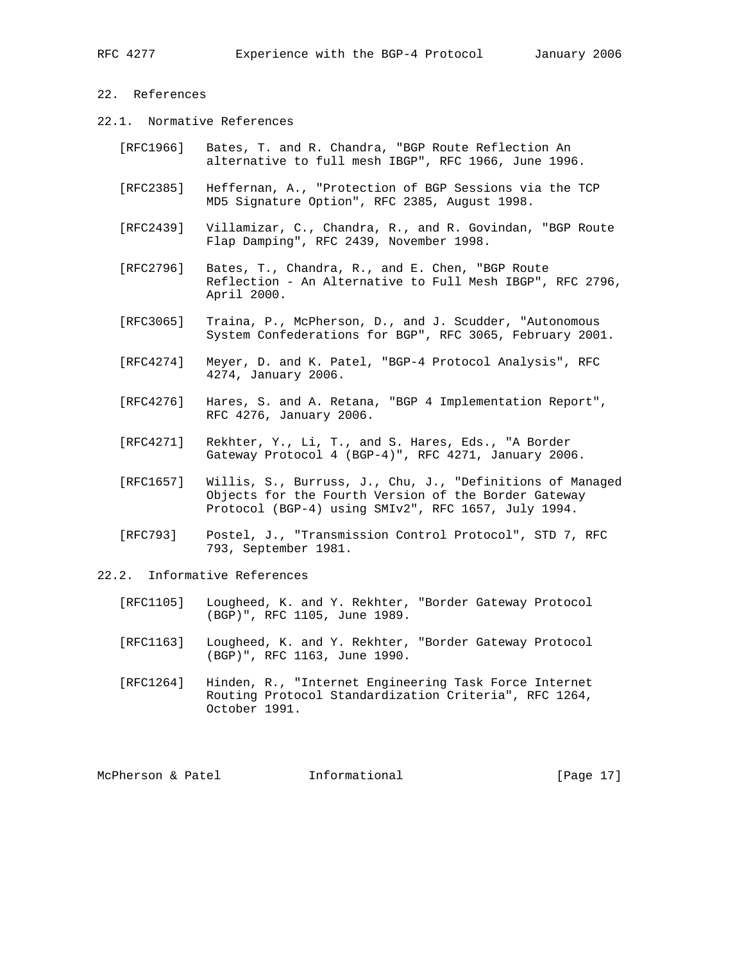# 22. References

- 22.1. Normative References
	- [RFC1966] Bates, T. and R. Chandra, "BGP Route Reflection An alternative to full mesh IBGP", RFC 1966, June 1996.
	- [RFC2385] Heffernan, A., "Protection of BGP Sessions via the TCP MD5 Signature Option", RFC 2385, August 1998.
	- [RFC2439] Villamizar, C., Chandra, R., and R. Govindan, "BGP Route Flap Damping", RFC 2439, November 1998.
	- [RFC2796] Bates, T., Chandra, R., and E. Chen, "BGP Route Reflection - An Alternative to Full Mesh IBGP", RFC 2796, April 2000.
	- [RFC3065] Traina, P., McPherson, D., and J. Scudder, "Autonomous System Confederations for BGP", RFC 3065, February 2001.
	- [RFC4274] Meyer, D. and K. Patel, "BGP-4 Protocol Analysis", RFC 4274, January 2006.
	- [RFC4276] Hares, S. and A. Retana, "BGP 4 Implementation Report", RFC 4276, January 2006.
	- [RFC4271] Rekhter, Y., Li, T., and S. Hares, Eds., "A Border Gateway Protocol 4 (BGP-4)", RFC 4271, January 2006.
	- [RFC1657] Willis, S., Burruss, J., Chu, J., "Definitions of Managed Objects for the Fourth Version of the Border Gateway Protocol (BGP-4) using SMIv2", RFC 1657, July 1994.
	- [RFC793] Postel, J., "Transmission Control Protocol", STD 7, RFC 793, September 1981.
- 22.2. Informative References
	- [RFC1105] Lougheed, K. and Y. Rekhter, "Border Gateway Protocol (BGP)", RFC 1105, June 1989.
	- [RFC1163] Lougheed, K. and Y. Rekhter, "Border Gateway Protocol (BGP)", RFC 1163, June 1990.
	- [RFC1264] Hinden, R., "Internet Engineering Task Force Internet Routing Protocol Standardization Criteria", RFC 1264, October 1991.

McPherson & Patel **Informational** [Page 17]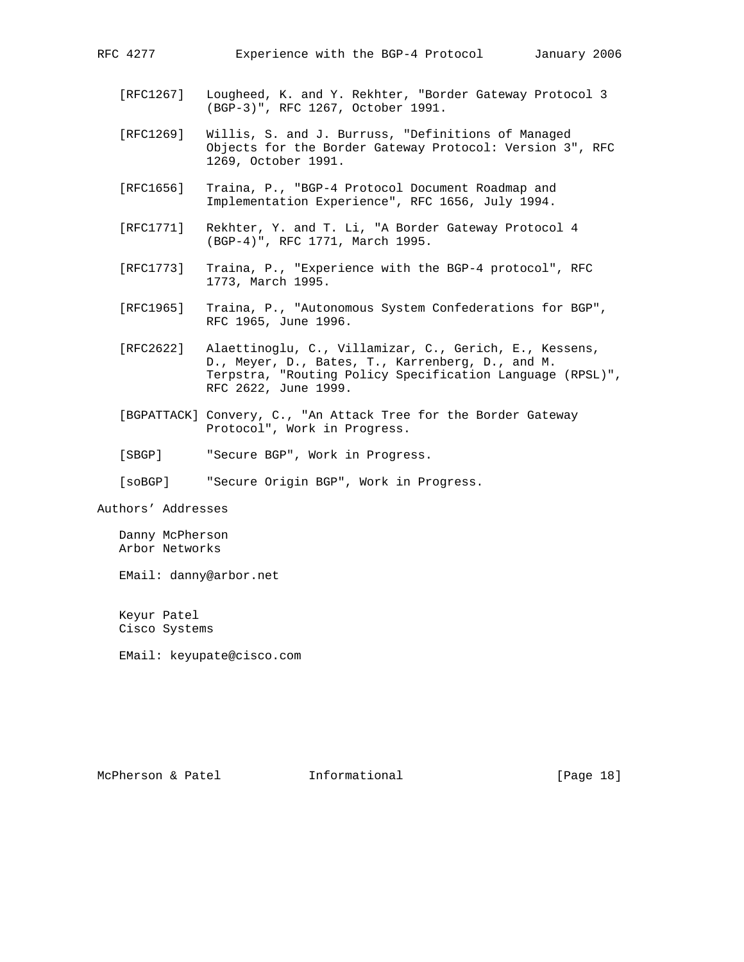- [RFC1267] Lougheed, K. and Y. Rekhter, "Border Gateway Protocol 3 (BGP-3)", RFC 1267, October 1991.
- [RFC1269] Willis, S. and J. Burruss, "Definitions of Managed Objects for the Border Gateway Protocol: Version 3", RFC 1269, October 1991.
- [RFC1656] Traina, P., "BGP-4 Protocol Document Roadmap and Implementation Experience", RFC 1656, July 1994.
- [RFC1771] Rekhter, Y. and T. Li, "A Border Gateway Protocol 4 (BGP-4)", RFC 1771, March 1995.
- [RFC1773] Traina, P., "Experience with the BGP-4 protocol", RFC 1773, March 1995.
- [RFC1965] Traina, P., "Autonomous System Confederations for BGP", RFC 1965, June 1996.
- [RFC2622] Alaettinoglu, C., Villamizar, C., Gerich, E., Kessens, D., Meyer, D., Bates, T., Karrenberg, D., and M. Terpstra, "Routing Policy Specification Language (RPSL)", RFC 2622, June 1999.
- [BGPATTACK] Convery, C., "An Attack Tree for the Border Gateway Protocol", Work in Progress.
- [SBGP] "Secure BGP", Work in Progress.
- [soBGP] "Secure Origin BGP", Work in Progress.

Authors' Addresses

 Danny McPherson Arbor Networks

EMail: danny@arbor.net

 Keyur Patel Cisco Systems

EMail: keyupate@cisco.com